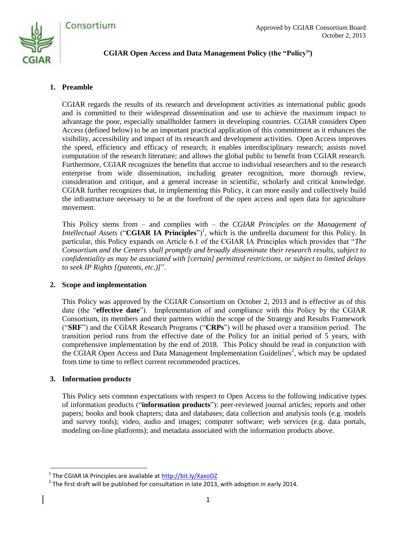

# **CGIAR Open Access and Data Management Policy (the "Policy")**

### **1. Preamble**

CGIAR regards the results of its research and development activities as international public goods and is committed to their widespread dissemination and use to achieve the maximum impact to advantage the poor, especially smallholder farmers in developing countries. CGIAR considers Open Access (defined below) to be an important practical application of this commitment as it enhances the visibility, accessibility and impact of its research and development activities. Open Access improves the speed, efficiency and efficacy of research; it enables interdisciplinary research; assists novel computation of the research literature; and allows the global public to benefit from CGIAR research. Furthermore, CGIAR recognizes the benefits that accrue to individual researchers and to the research enterprise from wide dissemination, including greater recognition, more thorough review, consideration and critique, and a general increase in scientific, scholarly and critical knowledge. CGIAR further recognizes that, in implementing this Policy, it can more easily and collectively build the infrastructure necessary to be at the forefront of the open access and open data for agriculture movement.

This Policy stems from – and complies with – the *CGIAR Principles on the Management of Intellectual Assets* ("CGIAR IA Principles")<sup>1</sup>, which is the umbrella document for this Policy. In particular, this Policy expands on Article 6.1 of the CGIAR IA Principles which provides that "*The Consortium and the Centers shall promptly and broadly disseminate their research results, subject to confidentiality as may be associated with [certain] permitted restrictions, or subject to limited delays to seek IP Rights [(patents, etc.)]*".

### **2. Scope and implementation**

This Policy was approved by the CGIAR Consortium on October 2, 2013 and is effective as of this date (the "**effective date**"). Implementation of and compliance with this Policy by the CGIAR Consortium, its members and their partners within the scope of the Strategy and Results Framework ("**SRF**") and the CGIAR Research Programs ("**CRPs**") will be phased over a transition period. The transition period runs from the effective date of the Policy for an initial period of 5 years, with comprehensive implementation by the end of 2018. This Policy should be read in conjunction with the CGIAR Open Access and Data Management Implementation Guidelines<sup>2</sup>, which may be updated from time to time to reflect current recommended practices.

### **3. Information products**

This Policy sets common expectations with respect to Open Access to the following indicative types of information products ("**information products**"): peer-reviewed journal articles; reports and other papers; books and book chapters; data and databases; data collection and analysis tools (e.g. models and survey tools); video, audio and images; computer software; web services (e.g. data portals, modeling on-line platforms); and metadata associated with the information products above.

 1 The CGIAR IA Principles are available a[t http://bit.ly/XaxoDZ](http://bit.ly/XaxoDZ)

 $^2$  The first draft will be published for consultation in late 2013, with adoption in early 2014.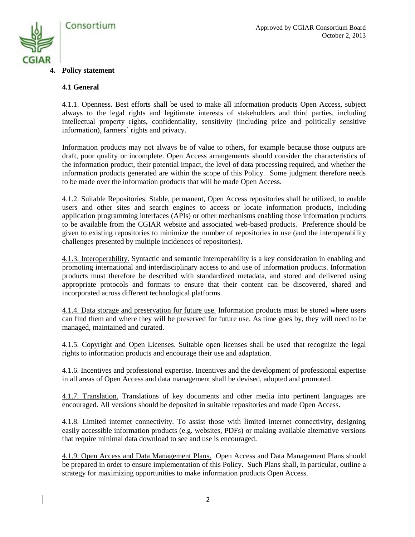

#### **4. Policy statement**

#### **4.1 General**

4.1.1. Openness. Best efforts shall be used to make all information products Open Access, subject always to the legal rights and legitimate interests of stakeholders and third parties, including intellectual property rights, confidentiality, sensitivity (including price and politically sensitive information), farmers' rights and privacy.

Information products may not always be of value to others, for example because those outputs are draft, poor quality or incomplete. Open Access arrangements should consider the characteristics of the information product, their potential impact, the level of data processing required, and whether the information products generated are within the scope of this Policy. Some judgment therefore needs to be made over the information products that will be made Open Access.

4.1.2. Suitable Repositories. Stable, permanent, Open Access repositories shall be utilized, to enable users and other sites and search engines to access or locate information products, including application programming interfaces (APIs) or other mechanisms enabling those information products to be available from the CGIAR website and associated web-based products. Preference should be given to existing repositories to minimize the number of repositories in use (and the interoperability challenges presented by multiple incidences of repositories).

4.1.3. Interoperability. Syntactic and semantic interoperability is a key consideration in enabling and promoting international and interdisciplinary access to and use of information products. Information products must therefore be described with standardized metadata, and stored and delivered using appropriate protocols and formats to ensure that their content can be discovered, shared and incorporated across different technological platforms.

4.1.4. Data storage and preservation for future use. Information products must be stored where users can find them and where they will be preserved for future use. As time goes by, they will need to be managed, maintained and curated.

4.1.5. Copyright and Open Licenses. Suitable open licenses shall be used that recognize the legal rights to information products and encourage their use and adaptation.

4.1.6. Incentives and professional expertise. Incentives and the development of professional expertise in all areas of Open Access and data management shall be devised, adopted and promoted.

4.1.7. Translation. Translations of key documents and other media into pertinent languages are encouraged. All versions should be deposited in suitable repositories and made Open Access.

4.1.8. Limited internet connectivity. To assist those with limited internet connectivity, designing easily accessible information products (e.g. websites, PDFs) or making available alternative versions that require minimal data download to see and use is encouraged.

4.1.9. Open Access and Data Management Plans. Open Access and Data Management Plans should be prepared in order to ensure implementation of this Policy. Such Plans shall, in particular, outline a strategy for maximizing opportunities to make information products Open Access.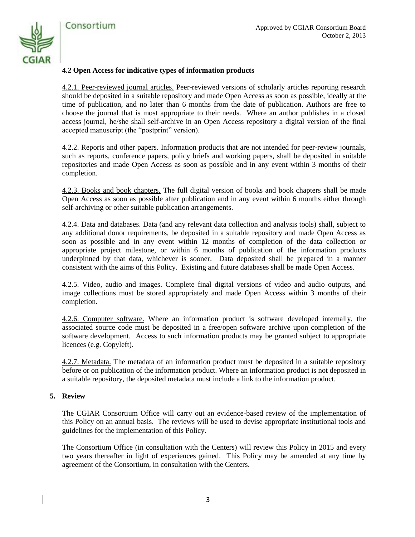

#### **4.2 Open Access for indicative types of information products**

4.2.1. Peer-reviewed journal articles. Peer-reviewed versions of scholarly articles reporting research should be deposited in a suitable repository and made Open Access as soon as possible, ideally at the time of publication, and no later than 6 months from the date of publication. Authors are free to choose the journal that is most appropriate to their needs. Where an author publishes in a closed access journal, he/she shall self-archive in an Open Access repository a digital version of the final accepted manuscript (the "postprint" version).

4.2.2. Reports and other papers. Information products that are not intended for peer-review journals, such as reports, conference papers, policy briefs and working papers, shall be deposited in suitable repositories and made Open Access as soon as possible and in any event within 3 months of their completion.

4.2.3. Books and book chapters. The full digital version of books and book chapters shall be made Open Access as soon as possible after publication and in any event within 6 months either through self-archiving or other suitable publication arrangements.

4.2.4. Data and databases. Data (and any relevant data collection and analysis tools) shall, subject to any additional donor requirements, be deposited in a suitable repository and made Open Access as soon as possible and in any event within 12 months of completion of the data collection or appropriate project milestone, or within 6 months of publication of the information products underpinned by that data, whichever is sooner. Data deposited shall be prepared in a manner consistent with the aims of this Policy. Existing and future databases shall be made Open Access.

4.2.5. Video, audio and images. Complete final digital versions of video and audio outputs, and image collections must be stored appropriately and made Open Access within 3 months of their completion.

4.2.6. Computer software. Where an information product is software developed internally, the associated source code must be deposited in a free/open software archive upon completion of the software development. Access to such information products may be granted subject to appropriate licences (e.g. Copyleft).

4.2.7. Metadata. The metadata of an information product must be deposited in a suitable repository before or on publication of the information product. Where an information product is not deposited in a suitable repository, the deposited metadata must include a link to the information product.

#### **5. Review**

The CGIAR Consortium Office will carry out an evidence-based review of the implementation of this Policy on an annual basis. The reviews will be used to devise appropriate institutional tools and guidelines for the implementation of this Policy.

The Consortium Office (in consultation with the Centers) will review this Policy in 2015 and every two years thereafter in light of experiences gained. This Policy may be amended at any time by agreement of the Consortium, in consultation with the Centers.